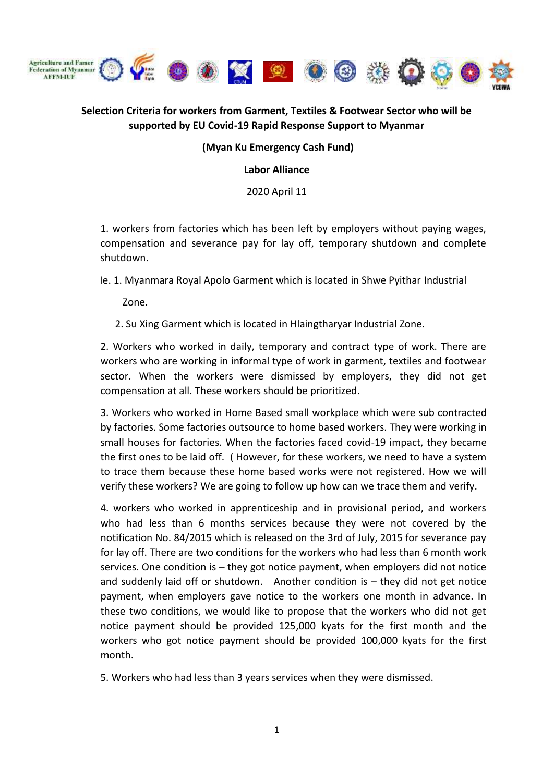

# **Selection Criteria for workers from Garment, Textiles & Footwear Sector who will be supported by EU Covid-19 Rapid Response Support to Myanmar**

#### **(Myan Ku Emergency Cash Fund)**

**Labor Alliance**

2020 April 11

1. workers from factories which has been left by employers without paying wages, compensation and severance pay for lay off, temporary shutdown and complete shutdown.

Ie. 1. Myanmara Royal Apolo Garment which is located in Shwe Pyithar Industrial

Zone.

2. Su Xing Garment which is located in Hlaingtharyar Industrial Zone.

2. Workers who worked in daily, temporary and contract type of work. There are workers who are working in informal type of work in garment, textiles and footwear sector. When the workers were dismissed by employers, they did not get compensation at all. These workers should be prioritized.

3. Workers who worked in Home Based small workplace which were sub contracted by factories. Some factories outsource to home based workers. They were working in small houses for factories. When the factories faced covid-19 impact, they became the first ones to be laid off. ( However, for these workers, we need to have a system to trace them because these home based works were not registered. How we will verify these workers? We are going to follow up how can we trace them and verify.

4. workers who worked in apprenticeship and in provisional period, and workers who had less than 6 months services because they were not covered by the notification No. 84/2015 which is released on the 3rd of July, 2015 for severance pay for lay off. There are two conditions for the workers who had less than 6 month work services. One condition is – they got notice payment, when employers did not notice and suddenly laid off or shutdown. Another condition is – they did not get notice payment, when employers gave notice to the workers one month in advance. In these two conditions, we would like to propose that the workers who did not get notice payment should be provided 125,000 kyats for the first month and the workers who got notice payment should be provided 100,000 kyats for the first month.

5. Workers who had less than 3 years services when they were dismissed.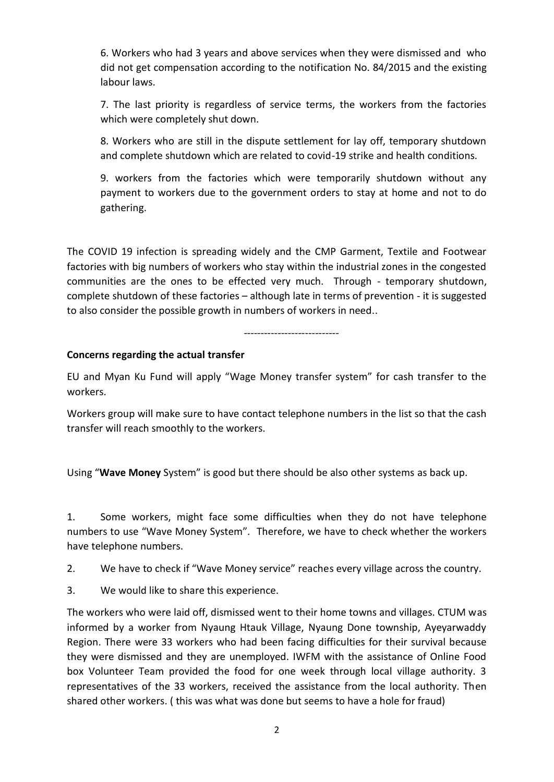6. Workers who had 3 years and above services when they were dismissed and who did not get compensation according to the notification No. 84/2015 and the existing labour laws.

7. The last priority is regardless of service terms, the workers from the factories which were completely shut down.

8. Workers who are still in the dispute settlement for lay off, temporary shutdown and complete shutdown which are related to covid-19 strike and health conditions.

9. workers from the factories which were temporarily shutdown without any payment to workers due to the government orders to stay at home and not to do gathering.

The COVID 19 infection is spreading widely and the CMP Garment, Textile and Footwear factories with big numbers of workers who stay within the industrial zones in the congested communities are the ones to be effected very much. Through - temporary shutdown, complete shutdown of these factories – although late in terms of prevention - it is suggested to also consider the possible growth in numbers of workers in need..

----------------------------

### **Concerns regarding the actual transfer**

EU and Myan Ku Fund will apply "Wage Money transfer system" for cash transfer to the workers.

Workers group will make sure to have contact telephone numbers in the list so that the cash transfer will reach smoothly to the workers.

Using "**Wave Money** System" is good but there should be also other systems as back up.

1. Some workers, might face some difficulties when they do not have telephone numbers to use "Wave Money System". Therefore, we have to check whether the workers have telephone numbers.

2. We have to check if "Wave Money service" reaches every village across the country.

3. We would like to share this experience.

The workers who were laid off, dismissed went to their home towns and villages. CTUM was informed by a worker from Nyaung Htauk Village, Nyaung Done township, Ayeyarwaddy Region. There were 33 workers who had been facing difficulties for their survival because they were dismissed and they are unemployed. IWFM with the assistance of Online Food box Volunteer Team provided the food for one week through local village authority. 3 representatives of the 33 workers, received the assistance from the local authority. Then shared other workers. ( this was what was done but seems to have a hole for fraud)